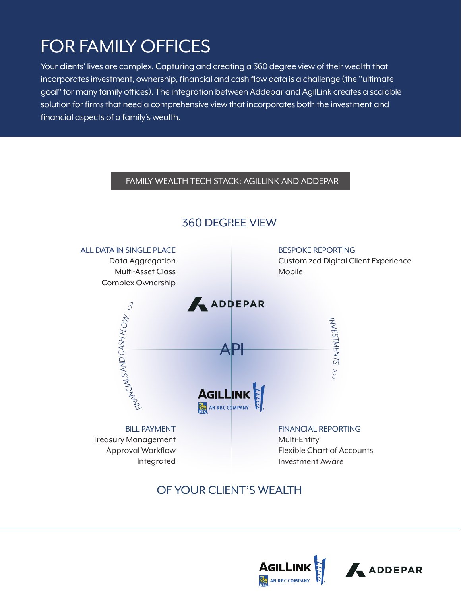# FOR FAMILY OFFICES

Your clients' lives are complex. Capturing and creating a 360 degree view of their wealth that incorporates investment, ownership, financial and cash flow data is a challenge (the "ultimate goal" for many family offices). The integration between Addepar and AgilLink creates a scalable solution for firms that need a comprehensive view that incorporates both the investment and financial aspects of a family's wealth.

### FAMILY WEALTH TECH STACK: AGILLINK AND ADDEPAR



## 360 DEGREE VIEW

OF YOUR CLIENT'S WEALTH